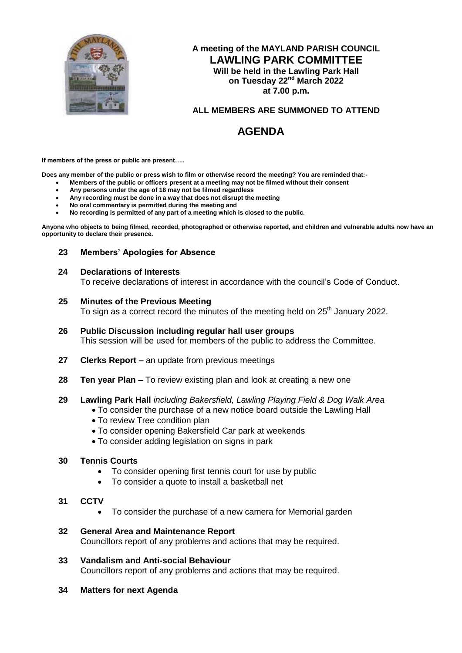

# **A meeting of the MAYLAND PARISH COUNCIL LAWLING PARK COMMITTEE Will be held in the Lawling Park Hall on Tuesday 22<sup>nd</sup> March 2022 at 7.00 p.m.**

# **ALL MEMBERS ARE SUMMONED TO ATTEND**

# **AGENDA**

**If members of the press or public are present…..**

**Does any member of the public or press wish to film or otherwise record the meeting? You are reminded that:-**

- **Members of the public or officers present at a meeting may not be filmed without their consent**
- **Any persons under the age of 18 may not be filmed regardless**
- **Any recording must be done in a way that does not disrupt the meeting**
- **No oral commentary is permitted during the meeting and**
- **No recording is permitted of any part of a meeting which is closed to the public.**

**Anyone who objects to being filmed, recorded, photographed or otherwise reported, and children and vulnerable adults now have an opportunity to declare their presence.**

## **23 Members' Apologies for Absence**

#### **24 Declarations of Interests**

To receive declarations of interest in accordance with the council's Code of Conduct.

## **25 Minutes of the Previous Meeting**

To sign as a correct record the minutes of the meeting held on  $25<sup>th</sup>$  January 2022.

- **26 Public Discussion including regular hall user groups** This session will be used for members of the public to address the Committee.
- **27 Clerks Report –** an update from previous meetings
- **28 Ten year Plan –** To review existing plan and look at creating a new one

#### **29 Lawling Park Hall** *including Bakersfield, Lawling Playing Field & Dog Walk Area*

- To consider the purchase of a new notice board outside the Lawling Hall
- To review Tree condition plan
- To consider opening Bakersfield Car park at weekends
- To consider adding legislation on signs in park

## **30 Tennis Courts**

- To consider opening first tennis court for use by public
- To consider a quote to install a basketball net
- **31 CCTV**
	- To consider the purchase of a new camera for Memorial garden
- **32 General Area and Maintenance Report** Councillors report of any problems and actions that may be required.
- **33 Vandalism and Anti-social Behaviour** Councillors report of any problems and actions that may be required.
- **34 Matters for next Agenda**